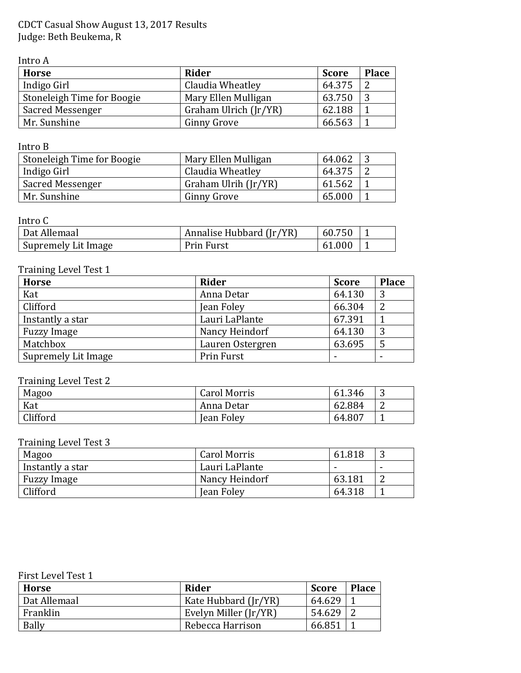CDCT Casual Show August 13, 2017 Results Judge: Beth Beukema, R

Intro A

| <b>Horse</b>               | Rider                 | <b>Score</b> | <b>Place</b> |
|----------------------------|-----------------------|--------------|--------------|
| Indigo Girl                | Claudia Wheatley      | 64.375       |              |
| Stoneleigh Time for Boogie | Mary Ellen Mulligan   | 63.750       |              |
| Sacred Messenger           | Graham Ulrich (Jr/YR) | 62.188       |              |
| Mr. Sunshine               | <b>Ginny Grove</b>    | 66.563       |              |

Intro B

| Stoneleigh Time for Boogie | Mary Ellen Mulligan  | 64.062 |  |
|----------------------------|----------------------|--------|--|
| Indigo Girl                | Claudia Wheatley     | 64.375 |  |
| Sacred Messenger           | Graham Ulrih (Jr/YR) | 61.562 |  |
| Mr. Sunshine               | Ginny Grove          | 65.000 |  |

### Intro C

| Dat Allemaal        | Annalise Hubbard (Jr/YR) | 60.750     |  |
|---------------------|--------------------------|------------|--|
| Supremely Lit Image | Prin Furst               | .000<br>61 |  |

## Training Level Test 1

| <b>Horse</b>        | Rider            | <b>Score</b> | <b>Place</b> |
|---------------------|------------------|--------------|--------------|
| Kat                 | Anna Detar       | 64.130       | 3            |
| Clifford            | Jean Foley       | 66.304       | ി            |
| Instantly a star    | Lauri LaPlante   | 67.391       |              |
| <b>Fuzzy Image</b>  | Nancy Heindorf   | 64.130       | 3            |
| Matchbox            | Lauren Ostergren | 63.695       |              |
| Supremely Lit Image | Prin Furst       |              |              |

# Training Level Test 2

| Magoo    | <b>Carol Morris</b> | 61.346 | ັ |
|----------|---------------------|--------|---|
| Kat      | Anna Detar          | 62.884 |   |
| Clifford | Jean Foley          | 64.807 |   |

# Training Level Test 3

| Magoo              | <b>Carol Morris</b> | 61.818 |                          |
|--------------------|---------------------|--------|--------------------------|
| Instantly a star   | Lauri LaPlante      |        | $\overline{\phantom{0}}$ |
| <b>Fuzzy Image</b> | Nancy Heindorf      | 63.181 |                          |
| Clifford           | <b>Jean Foley</b>   | 64.318 |                          |

| First Level Test 1 |  |  |
|--------------------|--|--|
|--------------------|--|--|

| <b>Horse</b> | Rider                 | <b>Score</b>       | <b>Place</b> |
|--------------|-----------------------|--------------------|--------------|
| Dat Allemaal | Kate Hubbard (Jr/YR)  | 64.629             |              |
| Franklin     | Evelyn Miller (Jr/YR) | 54.629             |              |
| Bally        | Rebecca Harrison      | 66.85 <sup>1</sup> |              |